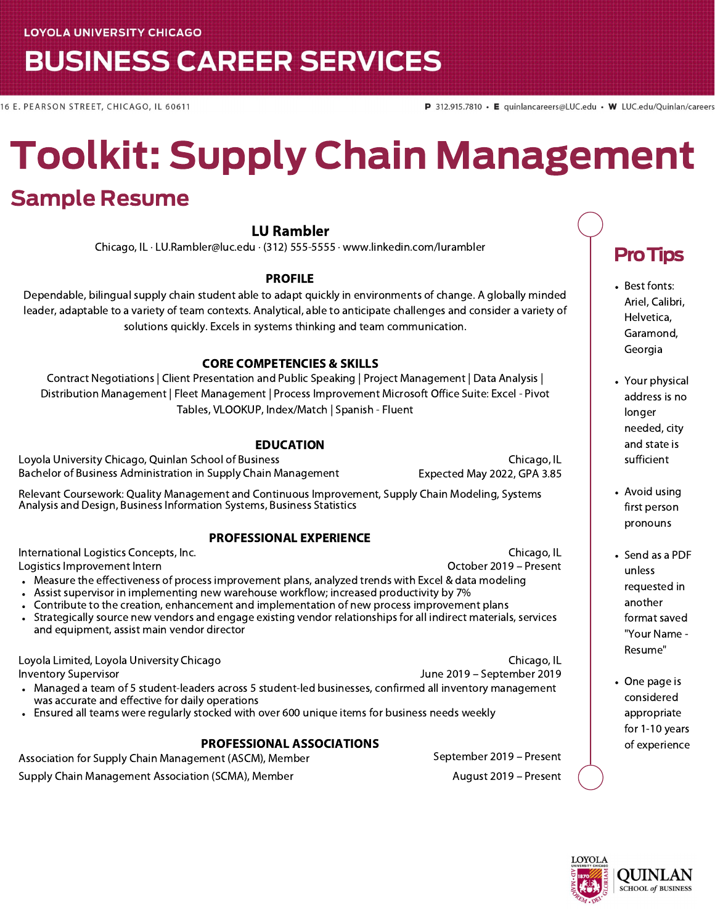## **BUSINESS CAREER SERVICES**

16 E. PEARSON STREET, CHICAGO, IL 60611

# Toolkit: Supply Chain Management

## Sample Resume

#### LU Rambler

Chicago, IL · LU.Rambler@luc.edu · (312) 555-5555 · www.linkedin.com/lurambler

#### PROFILE

Dependable, bilingual supply chain student able to adapt quickly in environments of change. A globally minded leader, adaptable to a variety of team contexts. Analytical, able to anticipate challenges and consider a variety of solutions quickly. Excels in systems thinking and team communication.

#### CORE COMPETENCIES & SKILLS

Contract Negotiations | Client Presentation and Public Speaking | Project Management | Data Analysis | Distribution Management | Fleet Management | Process Improvement Microsoft Office Suite: Excel - Pivot Tables, VLOOKUP, Index/Match | Spanish - Fluent

#### EDUCATION

Loyola University Chicago, Quinlan School of Business Chicago, IL Bachelor of Business Administration in Supply Chain Management Expected May 2022, GPA 3.85

Relevant Coursework: Quality Management and Continuous Improvement, Supply Chain Modeling, Systems Analysis and Design, Business Information Systems, Business Statistics

#### PROFESSIONAL EXPERIENCE

International Logistics Concepts, Inc. Logistics Improvement Intern

- October 2019 Present Measure the effectiveness of process improvement plans, analyzed trends with Excel & data modeling
- Assist supervisor in implementing new warehouse workflow; increased productivity by 7%
- Contribute to the creation, enhancement and implementation of new process improvement plans
- Strategically source new vendors and engage existing vendor relationships for all indirect materials, services and equipment, assist main vendor director

Loyola Limited, Loyola University Chicago Inventory Supervisor June 2019 – September 2019 Managed a team of 5 student-leaders across 5 student-led businesses, confirmed all inventory management was accurate and effective for daily operations

Ensured all teams were regularly stocked with over 600 unique items for business needs weekly

#### PROFESSIONAL ASSOCIATIONS

Association for Supply Chain Management (ASCM), Member Supplember 2019 – Present Supply Chain Management Association (SCMA), Member August 2019 – Present August 2019 – Present

Chicago, IL

Chicago, IL

### ProTips

- Best fonts: Ariel, Calibri, Helvetica, Garamond, Georgia
- Your physical address is no longer needed, city and state is sufficient
- Avoid using first person pronouns
- Send as a PDF unless requested in another format saved "Your Name - Resume"
- One page is considered appropriate for 1-10 years of experience